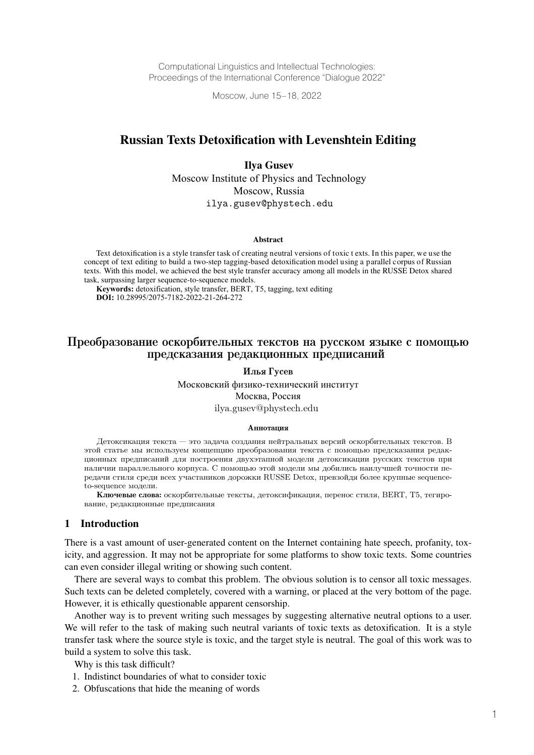Computational Linguistics and Intellectual Technologies: Proceedings of the International Conference "Dialogue 2022"

Moscow, June 15–18, 2022

# Russian Texts Detoxification with Levenshtein Editing

Ilya Gusev Moscow Institute of Physics and Technology Moscow, Russia ilya.gusev@phystech.edu

#### Abstract

Text detoxification is a style transfer task of creating neutral versions of toxic t exts. In this paper, we use the concept of text editing to build a two-step tagging-based detoxification model using a parallel corpus of Russian texts. With this model, we achieved the best style transfer accuracy among all models in the RUSSE Detox shared task, surpassing larger sequence-to-sequence models.

**Keywords:** detoxification, style transfer, BERT, T5, tagging, text editing **DOI:** 10.28995/2075-7182-2022-21-264-272

# Преобразование оскорбительных текстов на русском языке с помощью предсказания редакционных предписаний

Илья Гусев

Московский физико-технический институт Москва, Россия ilya.gusev@phystech.edu

#### Аннотация

Детоксикация текста — это задача создания нейтральных версий оскорбительных текстов. В этой статье мы используем концепцию преобразования текста с помощью предсказания редакционных предписаний для построения двухэтапной модели детоксикации русских текстов при наличии параллельного корпуса. С помощью этой модели мы добились наилучшей точности передачи стиля среди всех участаников дорожки RUSSE Detox, превзойдя более крупные sequenceto-sequence модели.

Ключевые слова: оскорбительные тексты, детоксификация, перенос стиля, BERT, T5, тегирование, редакционные предписания

### 1 Introduction

There is a vast amount of user-generated content on the Internet containing hate speech, profanity, toxicity, and aggression. It may not be appropriate for some platforms to show toxic texts. Some countries can even consider illegal writing or showing such content.

There are several ways to combat this problem. The obvious solution is to censor all toxic messages. Such texts can be deleted completely, covered with a warning, or placed at the very bottom of the page. However, it is ethically questionable apparent censorship.

Another way is to prevent writing such messages by suggesting alternative neutral options to a user. We will refer to the task of making such neutral variants of toxic texts as detoxification. It is a style transfer task where the source style is toxic, and the target style is neutral. The goal of this work was to build a system to solve this task.

Why is this task difficult?

- 1. Indistinct boundaries of what to consider toxic
- 2. Obfuscations that hide the meaning of words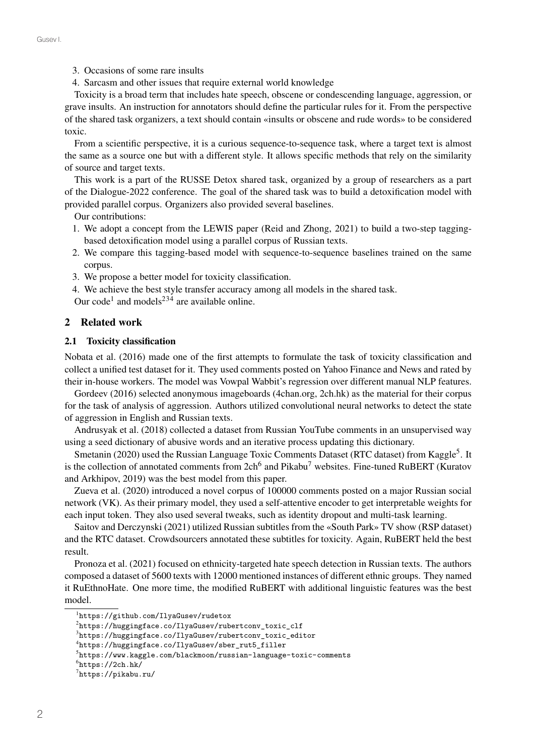- 3. Occasions of some rare insults
- 4. Sarcasm and other issues that require external world knowledge

Toxicity is a broad term that includes hate speech, obscene or condescending language, aggression, or grave insults. An instruction for annotators should define the particular rules for it. From the perspective of the shared task organizers, a text should contain «insults or obscene and rude words» to be considered toxic.

From a scientific perspective, it is a curious sequence-to-sequence task, where a target text is almost the same as a source one but with a different style. It allows specific methods that rely on the similarity of source and target texts.

This work is a part of the RUSSE Detox shared task, organized by a group of researchers as a part of the Dialogue-2022 conference. The goal of the shared task was to build a detoxification model with provided parallel corpus. Organizers also provided several baselines.

Our contributions:

- 1. We adopt a concept from the LEWIS paper (Reid and Zhong, 2021) to build a two-step taggingbased detoxification model using a parallel corpus of Russian texts.
- 2. We compare this tagging-based model with sequence-to-sequence baselines trained on the same corpus.
- 3. We propose a better model for toxicity classification.
- 4. We achieve the best style transfer accuracy among all models in the shared task.

Our code<sup>1</sup> and models<sup>234</sup> are available online.

### 2 Related work

#### 2.1 Toxicity classification

Nobata et al. (2016) made one of the first attempts to formulate the task of toxicity classification and collect a unified test dataset for it. They used comments posted on Yahoo Finance and News and rated by their in-house workers. The model was Vowpal Wabbit's regression over different manual NLP features.

Gordeev (2016) selected anonymous imageboards (4chan.org, 2ch.hk) as the material for their corpus for the task of analysis of aggression. Authors utilized convolutional neural networks to detect the state of aggression in English and Russian texts.

Andrusyak et al. (2018) collected a dataset from Russian YouTube comments in an unsupervised way using a seed dictionary of abusive words and an iterative process updating this dictionary.

Smetanin (2020) used the Russian Language Toxic Comments Dataset (RTC dataset) from Kaggle<sup>5</sup>. It is the collection of annotated comments from 2ch<sup>6</sup> and Pikabu<sup>7</sup> websites. Fine-tuned RuBERT (Kuratov and Arkhipov, 2019) was the best model from this paper.

Zueva et al. (2020) introduced a novel corpus of 100000 comments posted on a major Russian social network (VK). As their primary model, they used a self-attentive encoder to get interpretable weights for each input token. They also used several tweaks, such as identity dropout and multi-task learning.

Saitov and Derczynski (2021) utilized Russian subtitles from the «South Park» TV show (RSP dataset) and the RTC dataset. Crowdsourcers annotated these subtitles for toxicity. Again, RuBERT held the best result.

Pronoza et al. (2021) focused on ethnicity-targeted hate speech detection in Russian texts. The authors composed a dataset of 5600 texts with 12000 mentioned instances of different ethnic groups. They named it RuEthnoHate. One more time, the modified RuBERT with additional linguistic features was the best model.

<sup>1</sup> https://github.com/IlyaGusev/rudetox

 $^{2}$ https://huggingface.co/IlyaGusev/rubertconv\_toxic\_clf

 $^3$ https://huggingface.co/IlyaGusev/rubertconv\_toxic\_editor

<sup>4</sup> https://huggingface.co/IlyaGusev/sber\_rut5\_filler

 $^5$ https://www.kaggle.com/blackmoon/russian-language-toxic-comments

 $<sup>6</sup>$ https://2ch.hk/</sup>

 $7$ https://pikabu.ru/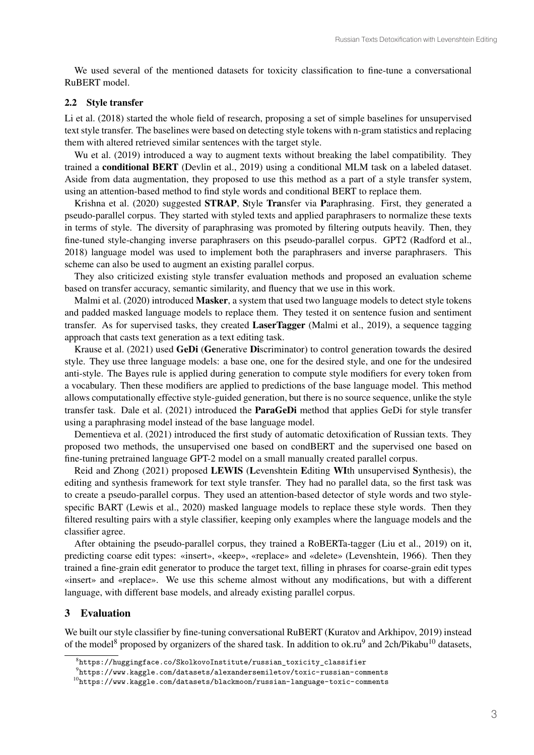We used several of the mentioned datasets for toxicity classification to fine-tune a conversational RuBERT model.

#### 2.2 Style transfer

Li et al. (2018) started the whole field of research, proposing a set of simple baselines for unsupervised text style transfer. The baselines were based on detecting style tokens with n-gram statistics and replacing them with altered retrieved similar sentences with the target style.

Wu et al. (2019) introduced a way to augment texts without breaking the label compatibility. They trained a conditional BERT (Devlin et al., 2019) using a conditional MLM task on a labeled dataset. Aside from data augmentation, they proposed to use this method as a part of a style transfer system, using an attention-based method to find style words and conditional BERT to replace them.

Krishna et al. (2020) suggested STRAP, Style Transfer via Paraphrasing. First, they generated a pseudo-parallel corpus. They started with styled texts and applied paraphrasers to normalize these texts in terms of style. The diversity of paraphrasing was promoted by filtering outputs heavily. Then, they fine-tuned style-changing inverse paraphrasers on this pseudo-parallel corpus. GPT2 (Radford et al., 2018) language model was used to implement both the paraphrasers and inverse paraphrasers. This scheme can also be used to augment an existing parallel corpus.

They also criticized existing style transfer evaluation methods and proposed an evaluation scheme based on transfer accuracy, semantic similarity, and fluency that we use in this work.

Malmi et al. (2020) introduced Masker, a system that used two language models to detect style tokens and padded masked language models to replace them. They tested it on sentence fusion and sentiment transfer. As for supervised tasks, they created LaserTagger (Malmi et al., 2019), a sequence tagging approach that casts text generation as a text editing task.

Krause et al. (2021) used GeDi (Generative Discriminator) to control generation towards the desired style. They use three language models: a base one, one for the desired style, and one for the undesired anti-style. The Bayes rule is applied during generation to compute style modifiers for every token from a vocabulary. Then these modifiers are applied to predictions of the base language model. This method allows computationally effective style-guided generation, but there is no source sequence, unlike the style transfer task. Dale et al. (2021) introduced the ParaGeDi method that applies GeDi for style transfer using a paraphrasing model instead of the base language model.

Dementieva et al. (2021) introduced the first study of automatic detoxification of Russian texts. They proposed two methods, the unsupervised one based on condBERT and the supervised one based on fine-tuning pretrained language GPT-2 model on a small manually created parallel corpus.

Reid and Zhong (2021) proposed LEWIS (Levenshtein Editing WIth unsupervised Synthesis), the editing and synthesis framework for text style transfer. They had no parallel data, so the first task was to create a pseudo-parallel corpus. They used an attention-based detector of style words and two stylespecific BART (Lewis et al., 2020) masked language models to replace these style words. Then they filtered resulting pairs with a style classifier, keeping only examples where the language models and the classifier agree.

After obtaining the pseudo-parallel corpus, they trained a RoBERTa-tagger (Liu et al., 2019) on it, predicting coarse edit types: «insert», «keep», «replace» and «delete» (Levenshtein, 1966). Then they trained a fine-grain edit generator to produce the target text, filling in phrases for coarse-grain edit types «insert» and «replace». We use this scheme almost without any modifications, but with a different language, with different base models, and already existing parallel corpus.

#### 3 Evaluation

We built our style classifier by fine-tuning conversational RuBERT (Kuratov and Arkhipov, 2019) instead of the model<sup>8</sup> proposed by organizers of the shared task. In addition to ok.ru<sup>9</sup> and 2ch/Pikabu<sup>10</sup> datasets,

 $^8$ https://huggingface.co/SkolkovoInstitute/russian\_toxicity\_classifier

 $^{9}$ https://www.kaggle.com/datasets/alexandersemiletov/toxic-russian-comments

 $10$ https://www.kaggle.com/datasets/blackmoon/russian-language-toxic-comments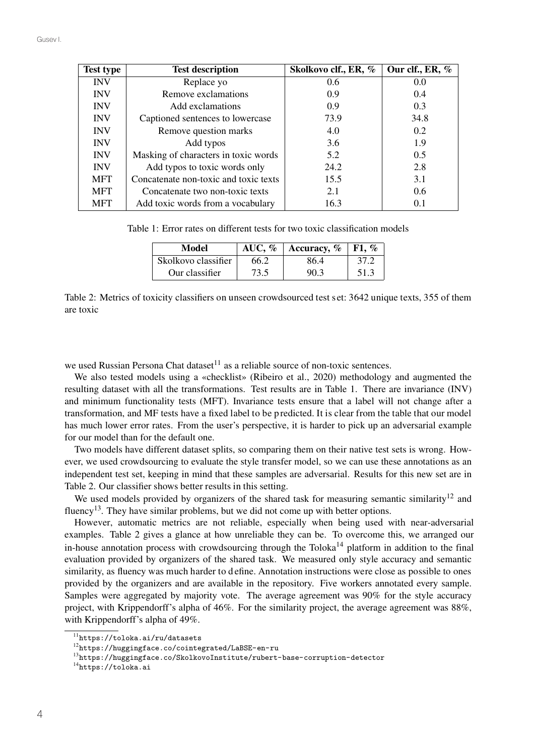| <b>Test type</b> | <b>Test description</b>               | Skolkovo clf., ER, % | Our clf., ER, % |
|------------------|---------------------------------------|----------------------|-----------------|
| <b>INV</b>       | Replace yo                            | 0.6                  | 0.0             |
| <b>INV</b>       | Remove exclamations                   | 0.9                  | 0.4             |
| <b>INV</b>       | Add exclamations                      | 0.9                  | 0.3             |
| <b>INV</b>       | Captioned sentences to lowercase      | 73.9                 | 34.8            |
| <b>INV</b>       | Remove question marks                 | 4.0                  | $0.2^{\circ}$   |
| <b>INV</b>       | Add typos                             | 3.6                  | 1.9             |
| <b>INV</b>       | Masking of characters in toxic words  | 5.2                  | 0.5             |
| <b>INV</b>       | Add typos to toxic words only         | 24.2                 | 2.8             |
| <b>MFT</b>       | Concatenate non-toxic and toxic texts | 15.5                 | 3.1             |
| <b>MFT</b>       | Concatenate two non-toxic texts       | 2.1                  | 0.6             |
| <b>MFT</b>       | Add toxic words from a vocabulary     | 16.3                 | 0.1             |

Table 1: Error rates on different tests for two toxic classification models

| Model               | AUC, $%$ | Accuracy, $\%$ | F1. $\%$ |
|---------------------|----------|----------------|----------|
| Skolkovo classifier | 66.2     | 86.4           | 37.2     |
| Our classifier      | 73.5     | 90.3           | 51.3     |

Table 2: Metrics of toxicity classifiers on unseen crowdsourced test s et: 3642 unique texts, 355 of them are toxic

we used Russian Persona Chat dataset $^{11}$  as a reliable source of non-toxic sentences.

We also tested models using a «checklist» (Ribeiro et al., 2020) methodology and augmented the resulting dataset with all the transformations. Test results are in Table 1. There are invariance (INV) and minimum functionality tests (MFT). Invariance tests ensure that a label will not change after a transformation, and MF tests have a fixed label to be p redicted. It is clear from the table that our model has much lower error rates. From the user's perspective, it is harder to pick up an adversarial example for our model than for the default one.

Two models have different dataset splits, so comparing them on their native test sets is wrong. However, we used crowdsourcing to evaluate the style transfer model, so we can use these annotations as an independent test set, keeping in mind that these samples are adversarial. Results for this new set are in Table 2. Our classifier shows better results in this setting.

We used models provided by organizers of the shared task for measuring semantic similarity<sup>12</sup> and fluency<sup>13</sup>. They have similar problems, but we did not come up with better options.

However, automatic metrics are not reliable, especially when being used with near-adversarial examples. Table 2 gives a glance at how unreliable they can be. To overcome this, we arranged our in-house annotation process with crowdsourcing through the Toloka<sup>14</sup> platform in addition to the final evaluation provided by organizers of the shared task. We measured only style accuracy and semantic similarity, as fluency was much harder to define. Annotation instructions were close as possible to ones provided by the organizers and are available in the repository. Five workers annotated every sample. Samples were aggregated by majority vote. The average agreement was 90% for the style accuracy project, with Krippendorff's alpha of 46%. For the similarity project, the average agreement was 88%, with Krippendorff's alpha of 49%.

<sup>11</sup>https://toloka.ai/ru/datasets

<sup>12</sup>https://huggingface.co/cointegrated/LaBSE-en-ru

<sup>13</sup>https://huggingface.co/SkolkovoInstitute/rubert-base-corruption-detector

<sup>14</sup>https://toloka.ai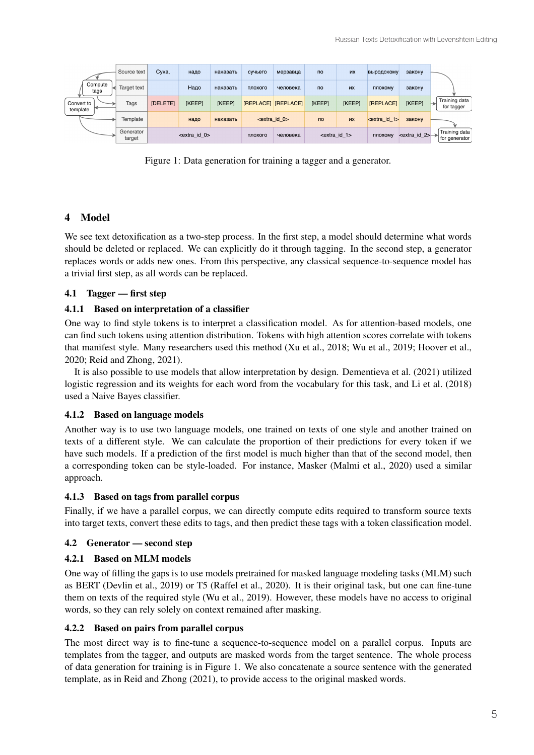|                        | Source text         | Сука.           | надо                   | наказать | сучьего                    | мерзавца | $\overline{p}$ | их                                    | <b>ВЫРОДСКОМУ</b>  | закону                          |                                  |
|------------------------|---------------------|-----------------|------------------------|----------|----------------------------|----------|----------------|---------------------------------------|--------------------|---------------------------------|----------------------------------|
| Compute<br>tags        | Target text         |                 | Надо                   | наказать | плохого                    | человека | <b>no</b>      | их                                    | плохому            | закону                          |                                  |
| Convert to<br>template | Tags                | <b>[DELETE]</b> | [KEEP]                 | [KEEP]   | <b>[REPLACE] [REPLACE]</b> |          | [KEEP]         | [KEEP]                                | <b>[REPLACE]</b>   | [KEEP]                          | Training data<br>⊢<br>for tagger |
|                        | Template            |                 | надо                   | наказать | $\epsilon$ extra id 0>     |          | <b>no</b>      | <b>MX</b>                             | $\leq$ extra id 1> | закону                          |                                  |
|                        | Generator<br>target |                 | $\epsilon$ extra id 0> |          | плохого                    | человека |                | $\epsilon$ <extra 1="" id=""></extra> | плохому            | $\le$ extra id 2> $\rightarrow$ | Training data<br>for generator   |

Figure 1: Data generation for training a tagger and a generator.

# 4 Model

We see text detoxification as a two-step process. In the first step, a model should determine what words should be deleted or replaced. We can explicitly do it through tagging. In the second step, a generator replaces words or adds new ones. From this perspective, any classical sequence-to-sequence model has a trivial first step, as all words can be replaced.

# 4.1 Tagger — first step

# 4.1.1 Based on interpretation of a classifier

One way to find style tokens is to interpret a classification model. As for attention-based models, one can find such tokens using attention distribution. Tokens with high attention scores correlate with tokens that manifest style. Many researchers used this method (Xu et al., 2018; Wu et al., 2019; Hoover et al., 2020; Reid and Zhong, 2021).

It is also possible to use models that allow interpretation by design. Dementieva et al. (2021) utilized logistic regression and its weights for each word from the vocabulary for this task, and Li et al. (2018) used a Naive Bayes classifier.

### 4.1.2 Based on language models

Another way is to use two language models, one trained on texts of one style and another trained on texts of a different style. We can calculate the proportion of their predictions for every token if we have such models. If a prediction of the first model is much higher than that of the second model, then a corresponding token can be style-loaded. For instance, Masker (Malmi et al., 2020) used a similar approach.

### 4.1.3 Based on tags from parallel corpus

Finally, if we have a parallel corpus, we can directly compute edits required to transform source texts into target texts, convert these edits to tags, and then predict these tags with a token classification model.

# 4.2 Generator — second step

# 4.2.1 Based on MLM models

One way of filling the gaps is to use models pretrained for masked language modeling tasks (MLM) such as BERT (Devlin et al., 2019) or T5 (Raffel et al., 2020). It is their original task, but one can fine-tune them on texts of the required style (Wu et al., 2019). However, these models have no access to original words, so they can rely solely on context remained after masking.

### 4.2.2 Based on pairs from parallel corpus

The most direct way is to fine-tune a sequence-to-sequence model on a parallel corpus. Inputs are templates from the tagger, and outputs are masked words from the target sentence. The whole process of data generation for training is in Figure 1. We also concatenate a source sentence with the generated template, as in Reid and Zhong (2021), to provide access to the original masked words.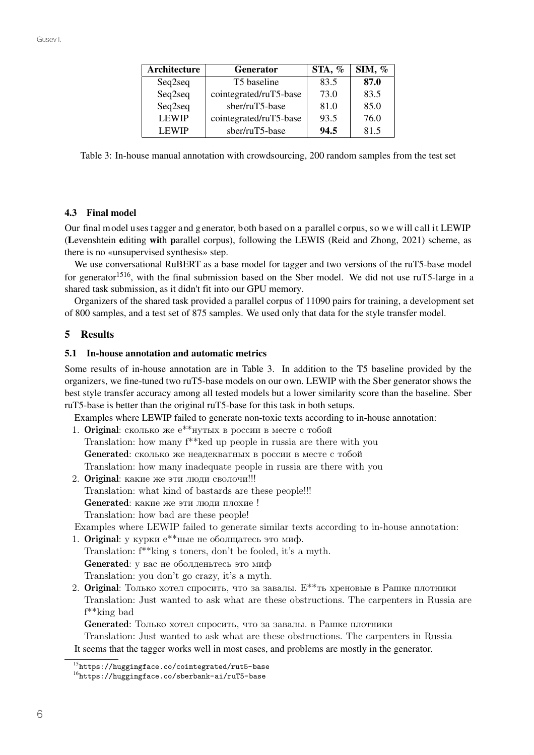| Architecture | <b>Generator</b>       | STA, % | SIM, % |
|--------------|------------------------|--------|--------|
| Seq2seq      | T5 baseline            | 83.5   | 87.0   |
| Seq2seq      | cointegrated/ruT5-base | 73.0   | 83.5   |
| Seq2seq      | sber/ruT5-base         | 81.0   | 85.0   |
| <b>LEWIP</b> | cointegrated/ruT5-base | 93.5   | 76.0   |
| <b>LEWIP</b> | sber/ruT5-base         | 94.5   | 815    |

Table 3: In-house manual annotation with crowdsourcing, 200 random samples from the test set

# 4.3 Final model

Our final model uses tagger and generator, both based on a parallel c orpus, so we will call it LEWIP (Levenshtein editing with parallel corpus), following the LEWIS (Reid and Zhong, 2021) scheme, as there is no «unsupervised synthesis» step.

We use conversational RuBERT as a base model for tagger and two versions of the ruT5-base model for generator<sup>1516</sup>, with the final submission based on the Sber model. We did not use ruT5-large in a shared task submission, as it didn't fit into our GPU memory.

Organizers of the shared task provided a parallel corpus of 11090 pairs for training, a development set of 800 samples, and a test set of 875 samples. We used only that data for the style transfer model.

# 5 Results

### 5.1 In-house annotation and automatic metrics

Some results of in-house annotation are in Table 3. In addition to the T5 baseline provided by the organizers, we fine-tuned two ruT5-base models on our own. LEWIP with the Sber generator shows the best style transfer accuracy among all tested models but a lower similarity score than the baseline. Sber ruT5-base is better than the original ruT5-base for this task in both setups.

Examples where LEWIP failed to generate non-toxic texts according to in-house annotation:

- 1. Original: сколько же е\*\*нутых в россии в месте с тобой Translation: how many f\*\*ked up people in russia are there with you Generated: сколько же неадекватных в россии в месте с тобой Translation: how many inadequate people in russia are there with you
- 2. Original: какие же эти люди сволочи!!! Translation: what kind of bastards are these people!!! Generated: какие же эти люди плохие ! Translation: how bad are these people!

Examples where LEWIP failed to generate similar texts according to in-house annotation:

- 1. Original: у курки е\*\*ные не оболщатесь это миф. Translation: f\*\*king s toners, don't be fooled, it's a myth. Generated: у вас не оболденьтесь это миф Translation: you don't go crazy, it's a myth.
- 2. Original: Только хотел спросить, что за завалы. Е\*\*ть хреновые в Рашке плотники Translation: Just wanted to ask what are these obstructions. The carpenters in Russia are f\*\*king bad

Generated: Только хотел спросить, что за завалы. в Рашке плотники

Translation: Just wanted to ask what are these obstructions. The carpenters in Russia It seems that the tagger works well in most cases, and problems are mostly in the generator.

<sup>15</sup>https://huggingface.co/cointegrated/rut5-base

<sup>16</sup>https://huggingface.co/sberbank-ai/ruT5-base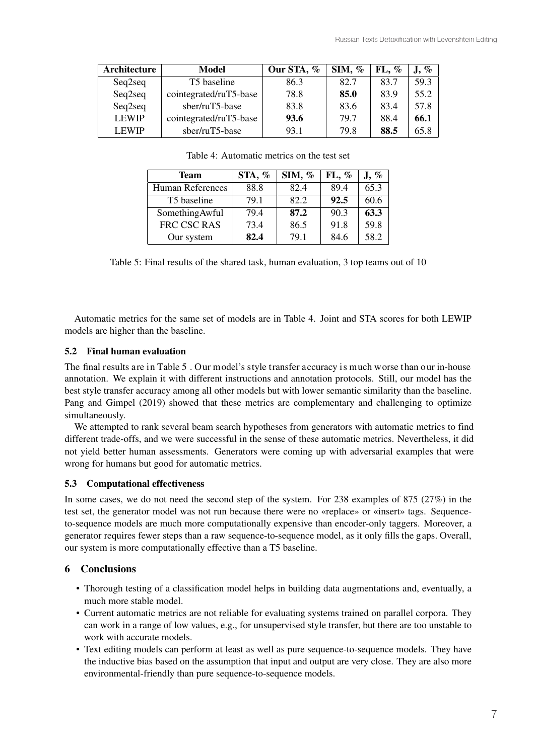| Architecture | <b>Model</b>           | Our STA, % | SIM, % | $FL, \%$ | $\mathbf{J}, \, \%$ |
|--------------|------------------------|------------|--------|----------|---------------------|
| Seq2seq      | T5 baseline            | 86.3       | 82.7   | 83.7     | 59.3                |
| Seq2seq      | cointegrated/ruT5-base | 78.8       | 85.0   | 83.9     | 55.2                |
| Seq2seq      | sber/ruT5-base         | 83.8       | 83.6   | 83.4     | 57.8                |
| <b>LEWIP</b> | cointegrated/ruT5-base | 93.6       | 79.7   | 88.4     | 66.1                |
| <b>LEWIP</b> | sber/ruT5-base         | 93.1       | 79.8   | 88.5     | 65.8                |

| Table 4: Automatic metrics on the test set |  |
|--------------------------------------------|--|
|                                            |  |

| <b>Team</b>             | STA, % | SIM, $%$ | $FL, \%$ | J, % |
|-------------------------|--------|----------|----------|------|
| <b>Human References</b> | 88.8   | 82.4     | 89.4     | 65.3 |
| T5 baseline             | 79.1   | 82.2     | 92.5     | 60.6 |
| SomethingAwful          | 79.4   | 87.2     | 90.3     | 63.3 |
| FRC CSC RAS             | 73.4   | 86.5     | 91.8     | 59.8 |
| Our system              | 82.4   | 79.1     | 84.6     | 58.2 |

Table 5: Final results of the shared task, human evaluation, 3 top teams out of 10

Automatic metrics for the same set of models are in Table 4. Joint and STA scores for both LEWIP models are higher than the baseline.

# 5.2 Final human evaluation

The final results are in Table 5. Our model's style transfer accuracy is much worse than our in-house annotation. We explain it with different instructions and annotation protocols. Still, our model has the best style transfer accuracy among all other models but with lower semantic similarity than the baseline. Pang and Gimpel (2019) showed that these metrics are complementary and challenging to optimize simultaneously.

We attempted to rank several beam search hypotheses from generators with automatic metrics to find different trade-offs, and we were successful in the sense of these automatic metrics. Nevertheless, it did not yield better human assessments. Generators were coming up with adversarial examples that were wrong for humans but good for automatic metrics.

# 5.3 Computational effectiveness

In some cases, we do not need the second step of the system. For 238 examples of 875 (27%) in the test set, the generator model was not run because there were no «replace» or «insert» tags. Sequenceto-sequence models are much more computationally expensive than encoder-only taggers. Moreover, a generator requires fewer steps than a raw sequence-to-sequence model, as it only fills the gaps. Overall, our system is more computationally effective than a T5 baseline.

# 6 Conclusions

- Thorough testing of a classification model helps in building data augmentations and, eventually, a much more stable model.
- Current automatic metrics are not reliable for evaluating systems trained on parallel corpora. They can work in a range of low values, e.g., for unsupervised style transfer, but there are too unstable to work with accurate models.
- Text editing models can perform at least as well as pure sequence-to-sequence models. They have the inductive bias based on the assumption that input and output are very close. They are also more environmental-friendly than pure sequence-to-sequence models.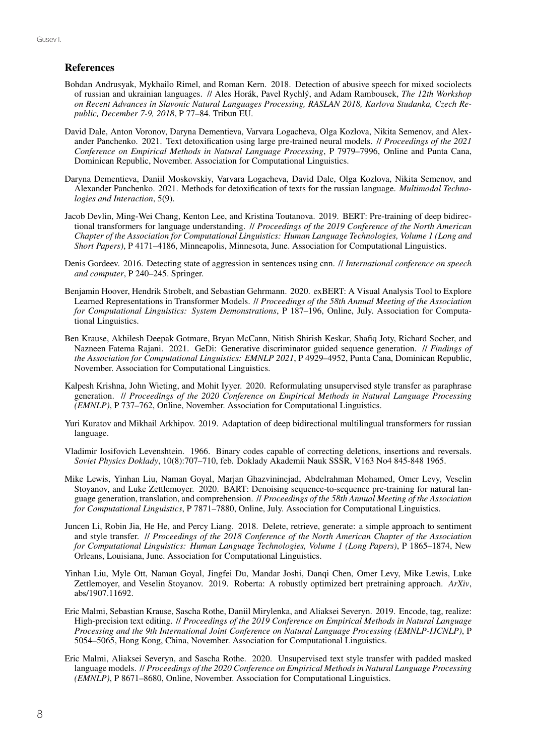# **References**

- Bohdan Andrusyak, Mykhailo Rimel, and Roman Kern. 2018. Detection of abusive speech for mixed sociolects of russian and ukrainian languages. // Ales Horák, Pavel Rychlý, and Adam Rambousek, *The 12th Workshop on Recent Advances in Slavonic Natural Languages Processing, RASLAN 2018, Karlova Studanka, Czech Republic, December 7-9, 2018*, P 77–84. Tribun EU.
- David Dale, Anton Voronov, Daryna Dementieva, Varvara Logacheva, Olga Kozlova, Nikita Semenov, and Alexander Panchenko. 2021. Text detoxification using large pre-trained neural models. // *Proceedings of the 2021 Conference on Empirical Methods in Natural Language Processing*, P 7979–7996, Online and Punta Cana, Dominican Republic, November. Association for Computational Linguistics.
- Daryna Dementieva, Daniil Moskovskiy, Varvara Logacheva, David Dale, Olga Kozlova, Nikita Semenov, and Alexander Panchenko. 2021. Methods for detoxification of texts for the russian language. *Multimodal Technologies and Interaction*, 5(9).
- Jacob Devlin, Ming-Wei Chang, Kenton Lee, and Kristina Toutanova. 2019. BERT: Pre-training of deep bidirectional transformers for language understanding. // *Proceedings of the 2019 Conference of the North American Chapter of the Association for Computational Linguistics: Human Language Technologies, Volume 1 (Long and Short Papers)*, P 4171–4186, Minneapolis, Minnesota, June. Association for Computational Linguistics.
- Denis Gordeev. 2016. Detecting state of aggression in sentences using cnn. // *International conference on speech and computer*, P 240–245. Springer.
- Benjamin Hoover, Hendrik Strobelt, and Sebastian Gehrmann. 2020. exBERT: A Visual Analysis Tool to Explore Learned Representations in Transformer Models. // *Proceedings of the 58th Annual Meeting of the Association for Computational Linguistics: System Demonstrations*, P 187–196, Online, July. Association for Computational Linguistics.
- Ben Krause, Akhilesh Deepak Gotmare, Bryan McCann, Nitish Shirish Keskar, Shafiq Joty, Richard Socher, and Nazneen Fatema Rajani. 2021. GeDi: Generative discriminator guided sequence generation. // *Findings of the Association for Computational Linguistics: EMNLP 2021*, P 4929–4952, Punta Cana, Dominican Republic, November. Association for Computational Linguistics.
- Kalpesh Krishna, John Wieting, and Mohit Iyyer. 2020. Reformulating unsupervised style transfer as paraphrase generation. // *Proceedings of the 2020 Conference on Empirical Methods in Natural Language Processing (EMNLP)*, P 737–762, Online, November. Association for Computational Linguistics.
- Yuri Kuratov and Mikhail Arkhipov. 2019. Adaptation of deep bidirectional multilingual transformers for russian language.
- Vladimir Iosifovich Levenshtein. 1966. Binary codes capable of correcting deletions, insertions and reversals. *Soviet Physics Doklady*, 10(8):707–710, feb. Doklady Akademii Nauk SSSR, V163 No4 845-848 1965.
- Mike Lewis, Yinhan Liu, Naman Goyal, Marjan Ghazvininejad, Abdelrahman Mohamed, Omer Levy, Veselin Stoyanov, and Luke Zettlemoyer. 2020. BART: Denoising sequence-to-sequence pre-training for natural language generation, translation, and comprehension. // *Proceedings of the 58th Annual Meeting of the Association for Computational Linguistics*, P 7871–7880, Online, July. Association for Computational Linguistics.
- Juncen Li, Robin Jia, He He, and Percy Liang. 2018. Delete, retrieve, generate: a simple approach to sentiment and style transfer. // *Proceedings of the 2018 Conference of the North American Chapter of the Association for Computational Linguistics: Human Language Technologies, Volume 1 (Long Papers)*, P 1865–1874, New Orleans, Louisiana, June. Association for Computational Linguistics.
- Yinhan Liu, Myle Ott, Naman Goyal, Jingfei Du, Mandar Joshi, Danqi Chen, Omer Levy, Mike Lewis, Luke Zettlemoyer, and Veselin Stoyanov. 2019. Roberta: A robustly optimized bert pretraining approach. *ArXiv*, abs/1907.11692.
- Eric Malmi, Sebastian Krause, Sascha Rothe, Daniil Mirylenka, and Aliaksei Severyn. 2019. Encode, tag, realize: High-precision text editing. // *Proceedings of the 2019 Conference on Empirical Methods in Natural Language Processing and the 9th International Joint Conference on Natural Language Processing (EMNLP-IJCNLP)*, P 5054–5065, Hong Kong, China, November. Association for Computational Linguistics.
- Eric Malmi, Aliaksei Severyn, and Sascha Rothe. 2020. Unsupervised text style transfer with padded masked language models. // *Proceedings of the 2020 Conference on Empirical Methods in Natural Language Processing (EMNLP)*, P 8671–8680, Online, November. Association for Computational Linguistics.